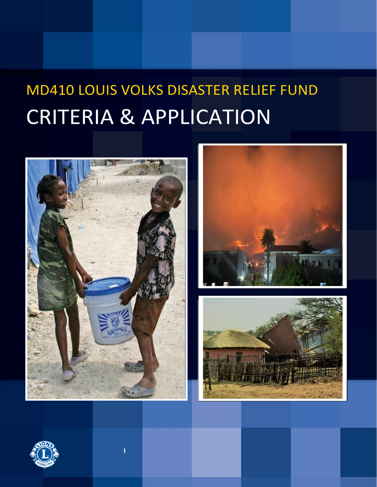# MD410 LOUIS VOLKS DISASTER RELIEF FUND CRITERIA & APPLICATION







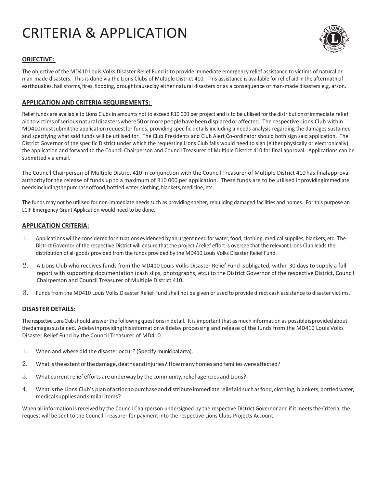# CRITERIA & APPLICATION



# **OBJECTIVE:**

The objective of the MD410 Louis Volks Disaster Relief Fund is to provide immediate emergency relief assistance to victims of natural or man-made disasters. This is done via the Lions Clubs of Multiple District 410. This assistance is available forrelief aid in the aftermath of earthquakes, hail storms,fires,flooding, droughtcausedby either natural disasters or as a consequence of man-made disasters e.g. arson.

# **APPLICATION AND CRITERIA REQUIREMENTS:**

Relief funds are available to Lions Clubs in amounts not to exceed R10 000 per project and is to be utilised for thedistributionofimmediate relief aid to victims of serious natural disasters where 50 or more people have been displaced or affected. The respective Lions Club within MD410mustsubmitthe application requestfor funds, providing specific details including a needs analysis regarding the damages sustained and specifying what said funds will be utilised for. The Club Presidents and Club Alert Co-ordinator should both sign said application. The District Governor of the specific District under which the requesting Lions Club falls would need to sign (either physically or electronically). the application and forward to the Council Chairperson and Council Treasurer of Multiple District 410 for final approval. Applications can be submitted via email.

The Council Chairperson of Multiple District 410 in conjunction with the Council Treasurer of Multiple District 410 has finalapproval authorityfor the release of funds up to a maximum of R10 000 per application. These funds are to be utilised inprovidingimmediate needsincludingthepurchase of food, bottled water, clothing, blankets, medicine, etc.

The funds may not be utilised for non-immediate needs such as providing shelter, rebuilding damaged facilities and homes. For this purpose an LCIF Emergency Grant Application would need to be done.

### **APPLICATION CRITERIA:**

- 1. Applications will be considered forsituations evidenced by an urgent need forwater,food, clothing,medical supplies, blankets, etc. The District Governor of the respective District will ensure that the project / relief effort is oversee that the relevant Lions Club leads the distribution of all goods provided from the funds provided by the MD410 Louis Volks Disaster Relief Fund.
- 2. A Lions Club who receives funds from the MD410 Louis Volks Disaster Relief Fund isobligated, within 30 days to supply a full report with supporting documentation (cash slips, photographs, etc.) to the District Governor of the respective District, Council Chairperson and Council Treasurer of Multiple District 410.
- 3. Funds from the MD410 Louis Volks Disaster Relief Fund shall not be given or used to provide direct cash assistance to disaster victims.

### **DISASTER DETAILS:**

The respective Lions Club should answer the following questions in detail. It is important that as much information as possibleis provided about thedamagessustained. Adelayinprovidingthisinformationwilldelay processing and release of the funds from the MD410 Louis Volks Disaster Relief Fund by the Council Treasurer of MD410.

- 1. When and where did the disaster occur? (Specify municipal area).
- 2. Whatistheextentofthedamage,deaths andinjuries? Howmanyhomes andfamilieswere affected?
- 3. What current relief efforts are underway by the community, relief agencies and Lions?
- 4. Whatisthe Lions Club's planofactiontopurchaseanddistributeimmediatereliefaidsuchasfood,clothing, blankets,bottledwater, medicalsuppliesandsimilaritems?

When all information is received by the Council Chairperson undersigned by the respective District Governor and if it meets the Criteria, the request will be sent to the Council Treasurer for payment into the respective Lions Clubs Projects Account.